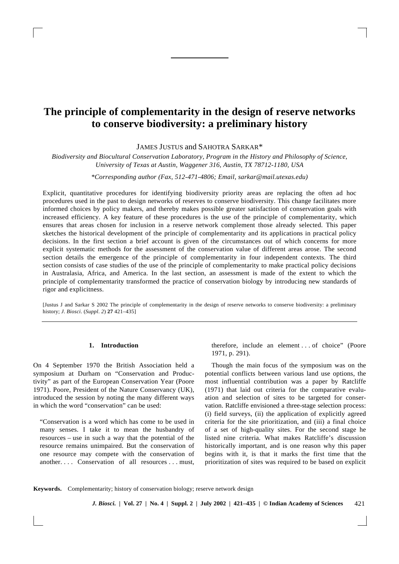# **The principle of complementarity in the design of reserve networks to conserve biodiversity: a preliminary history**

JAMES JUSTUS and SAHOTRA SARKAR\*

*Biodiversity and Biocultural Conservation Laboratory, Program in the History and Philosophy of Science, University of Texas at Austin, Waggener 316, Austin, TX 78712-1180, USA*

*\*Corresponding author (Fax*, *512-471-4806; Email*, *sarkar@mail.utexas.edu)*

Explicit, quantitative procedures for identifying biodiversity priority areas are replacing the often ad hoc procedures used in the past to design networks of reserves to conserve biodiversity. This change facilitates more informed choices by policy makers, and thereby makes possible greater satisfaction of conservation goals with increased efficiency. A key feature of these procedures is the use of the principle of complementarity, which ensures that areas chosen for inclusion in a reserve network complement those already selected. This paper sketches the historical development of the principle of complementarity and its applications in practical policy decisions. In the first section a brief account is given of the circumstances out of which concerns for more explicit systematic methods for the assessment of the conservation value of different areas arose. The second section details the emergence of the principle of complementarity in four independent contexts. The third section consists of case studies of the use of the principle of complementarity to make practical policy decisions in Australasia, Africa, and America. In the last section, an assessment is made of the extent to which the principle of complementarity transformed the practice of conservation biology by introducing new standards of rigor and explicitness.

[Justus J and Sarkar S 2002 The principle of complementarity in the design of reserve networks to conserve biodiversity: a preliminary history; *J*. *Biosci*. (*Suppl*. *2*) **27** 421–435]

#### **1. Introduction**

On 4 September 1970 the British Association held a symposium at Durham on "Conservation and Productivity" as part of the European Conservation Year (Poore 1971). Poore, President of the Nature Conservancy (UK), introduced the session by noting the many different ways in which the word "conservation" can be used:

"Conservation is a word which has come to be used in many senses. I take it to mean the husbandry of resources – use in such a way that the potential of the resource remains unimpaired. But the conservation of one resource may compete with the conservation of another. . . . Conservation of all resources . . . must,

therefore, include an element . . . of choice" (Poore 1971, p. 291).

Though the main focus of the symposium was on the potential conflicts between various land use options, the most influential contribution was a paper by Ratcliffe (1971) that laid out criteria for the comparative evaluation and selection of sites to be targeted for conservation. Ratcliffe envisioned a three-stage selection process: (i) field surveys, (ii) the application of explicitly agreed criteria for the site prioritization, and (iii) a final choice of a set of high-quality sites. For the second stage he listed nine criteria. What makes Ratcliffe's discussion historically important, and is one reason why this paper begins with it, is that it marks the first time that the prioritization of sites was required to be based on explicit

**Keywords.** Complementarity; history of conservation biology; reserve network design

421 *J. Biosci.* **| Vol. 27 | No. 4 | Suppl. 2 | July 2002 | 421–435 | © Indian Academy of Sciences**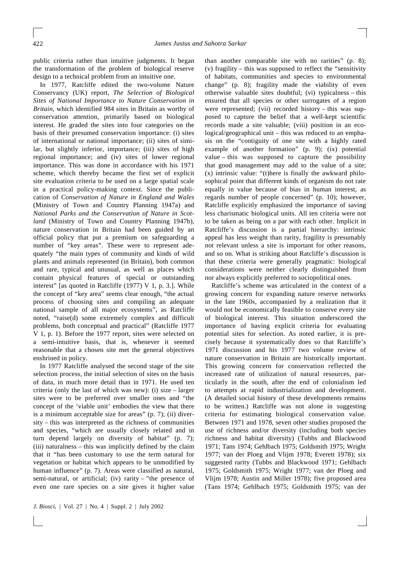public criteria rather than intuitive judgments. It began the transformation of the problem of biological reserve design to a technical problem from an intuitive one.

In 1977, Ratcliffe edited the two-volume Nature Conservancy (UK) report, *The Selection of Biological Sites of National Importance to Nature Conservation in Britain*, which identified 984 sites in Britain as worthy of conservation attention, primarily based on biological interest. He graded the sites into four categories on the basis of their presumed conservation importance: (i) sites of international or national importance; (ii) sites of similar, but slightly inferior, importance; (iii) sites of high regional importance; and (iv) sites of lower regional importance. This was done in accordance with his 1971 scheme, which thereby became the first set of explicit site evaluation criteria to be used on a large spatial scale in a practical policy-making context. Since the publication of *Conservation of Nature in England and Wales* (Ministry of Town and Country Planning 1947a) and *National Parks and the Conservation of Nature in Scotland* (Ministry of Town and Country Planning 1947b), nature conservation in Britain had been guided by an official policy that put a premium on safeguarding a number of "key areas". These were to represent adequately "the main types of community and kinds of wild plants and animals represented (in Britain), both common and rare, typical and unusual, as well as places which contain physical features of special or outstanding interest" [as quoted in Ratcliffe (1977) V 1, p. 3.]. While the concept of "key area" seems clear enough, "the actual process of choosing sites and compiling an adequate national sample of all major ecosystems", as Ratcliffe noted, "raise(d) some extremely complex and difficult problems, both conceptual and practical" (Ratcliffe 1977 V 1, p. 1). Before the 1977 report, sites were selected on a semi-intuitive basis, that is, whenever it seemed reasonable that a chosen site met the general objectives enshrined in policy.

In 1977 Ratcliffe analysed the second stage of the site selection process, the initial selection of sites on the basis of data, in much more detail than in 1971. He used ten criteria (only the last of which was new): (i) size – larger sites were to be preferred over smaller ones and "the concept of the 'viable unit' embodies the view that there is a minimum acceptable size for areas" (p. 7); (ii) diversity – this was interpreted as the richness of communities and species, "which are usually closely related and in turn depend largely on diversity of habitat" (p. 7); (iii) naturalness – this was implicitly defined by the claim that it "has been customary to use the term natural for vegetation or habitat which appears to be unmodified by human influence" (p. 7). Areas were classified as natural, semi-natural, or artificial; (iv) rarity – "the presence of even one rare species on a site gives it higher value

records made a site valuable; (viii) position in an ecological/geographical unit – this was reduced to an emphasis on the "contiguity of one site with a highly rated example of another formation" (p. 9); (ix) potential value – this was supposed to capture the possibility that good management may add to the value of a site; (x) intrinsic value: "(t)here is finally the awkward philosophical point that different kinds of organism do not rate equally in value because of bias in human interest, as regards number of people concerned" (p. 10); however, Ratcliffe explicitly emphasized the importance of saving less charismatic biological units. All ten criteria were not to be taken as being on a par with each other. Implicit in Ratcliffe's discussion is a partial hierarchy: intrinsic appeal has less weight than rarity, fragility is presumably not relevant unless a site is important for other reasons, and so on. What is striking about Ratcliffe's discussion is that these criteria were generally pragmatic: biological considerations were neither clearly distinguished from nor always explicitly preferred to sociopolitical ones. Ratcliffe's scheme was articulated in the context of a

than another comparable site with no rarities" (p. 8); (v) fragility – this was supposed to reflect the "sensitivity of habitats, communities and species to environmental change" (p. 8); fragility made the viability of even otherwise valuable sites doubtful; (vi) typicalness – this ensured that all species or other surrogates of a region were represented; (vii) recorded history – this was supposed to capture the belief that a well-kept scientific

growing concern for expanding nature reserve networks in the late 1960s, accompanied by a realization that it would not be economically feasible to conserve every site of biological interest. This situation underscored the importance of having explicit criteria for evaluating potential sites for selection. As noted earlier, it is precisely because it systematically does so that Ratcliffe's 1971 discussion and his 1977 two volume review of nature conservation in Britain are historically important. This growing concern for conservation reflected the increased rate of utilization of natural resources, particularly in the south, after the end of colonialism led to attempts at rapid industrialization and development. (A detailed social history of these developments remains to be written.) Ratcliffe was not alone in suggesting criteria for estimating biological conservation value. Between 1971 and 1978, seven other studies proposed the use of richness and/or diversity (including both species richness and habitat diversity) (Tubbs and Blackwood 1971; Tans 1974; Gehlbach 1975; Goldsmith 1975; Wright 1977; van der Ploeg and Vlijm 1978; Everett 1978); six suggested rarity (Tubbs and Blackwood 1971; Gehlbach 1975; Goldsmith 1975; Wright 1977; van der Ploeg and Vlijm 1978; Austin and Miller 1978); five proposed area (Tans 1974; Gehlbach 1975; Goldsmith 1975; van der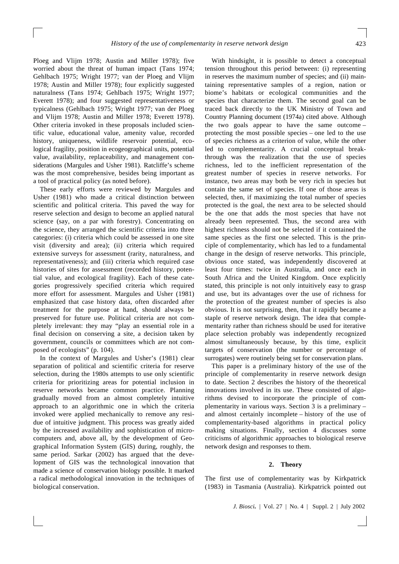Ploeg and Vlijm 1978; Austin and Miller 1978); five worried about the threat of human impact (Tans 1974; Gehlbach 1975; Wright 1977; van der Ploeg and Vlijm 1978; Austin and Miller 1978); four explicitly suggested naturalness (Tans 1974; Gehlbach 1975; Wright 1977; Everett 1978); and four suggested representativeness or typicalness (Gehlbach 1975; Wright 1977; van der Ploeg and Vlijm 1978; Austin and Miller 1978; Everett 1978). Other criteria invoked in these proposals included scientific value, educational value, amenity value, recorded history, uniqueness, wildlife reservoir potential, ecological fragility, position in ecogeographical units, potential value, availability, replaceability, and management considerations (Margules and Usher 1981). Ratcliffe's scheme was the most comprehensive, besides being important as a tool of practical policy (as noted before).

These early efforts were reviewed by Margules and Usher (1981) who made a critical distinction between scientific and political criteria. This paved the way for reserve selection and design to become an applied natural science (say, on a par with forestry). Concentrating on the science, they arranged the scientific criteria into three categories: (i) criteria which could be assessed in one site visit (diversity and area); (ii) criteria which required extensive surveys for assessment (rarity, naturalness, and representativeness); and (iii) criteria which required case histories of sites for assessment (recorded history, potential value, and ecological fragility). Each of these categories progressively specified criteria which required more effort for assessment. Margules and Usher (1981) emphasized that case history data, often discarded after treatment for the purpose at hand, should always be preserved for future use. Political criteria are not completely irrelevant: they may "play an essential role in a final decision on conserving a site, a decision taken by government, councils or committees which are not composed of ecologists" (p. 104).

In the context of Margules and Usher's (1981) clear separation of political and scientific criteria for reserve selection, during the 1980s attempts to use only scientific criteria for prioritizing areas for potential inclusion in reserve networks became common practice. Planning gradually moved from an almost completely intuitive approach to an algorithmic one in which the criteria invoked were applied mechanically to remove any residue of intuitive judgment. This process was greatly aided by the increased availability and sophistication of microcomputers and, above all, by the development of Geographical Information System (GIS) during, roughly, the same period. Sarkar (2002) has argued that the development of GIS was the technological innovation that made a science of conservation biology possible. It marked a radical methodological innovation in the techniques of biological conservation.

With hindsight, it is possible to detect a conceptual tension throughout this period between: (i) representing in reserves the maximum number of species; and (ii) maintaining representative samples of a region, nation or biome's habitats or ecological communities and the species that characterize them. The second goal can be traced back directly to the UK Ministry of Town and Country Planning document (1974a) cited above. Although the two goals appear to have the same outcome – protecting the most possible species – one led to the use of species richness as a criterion of value, while the other led to complementarity. A crucial conceptual breakthrough was the realization that the use of species richness, led to the inefficient representation of the greatest number of species in reserve networks. For instance, two areas may both be very rich in species but contain the same set of species. If one of those areas is selected, then, if maximizing the total number of species protected is the goal, the next area to be selected should be the one that adds the most species that have not already been represented. Thus, the second area with highest richness should not be selected if it contained the same species as the first one selected. This is the principle of complementarity, which has led to a fundamental change in the design of reserve networks. This principle, obvious once stated, was independently discovered at least four times: twice in Australia, and once each in South Africa and the United Kingdom. Once explicitly stated, this principle is not only intuitively easy to grasp and use, but its advantages over the use of richness for the protection of the greatest number of species is also obvious. It is not surprising, then, that it rapidly became a staple of reserve network design. The idea that complementarity rather than richness should be used for iterative place selection probably was independently recognized almost simultaneously because, by this time, explicit targets of conservation (the number or percentage of surrogates) were routinely being set for conservation plans.

This paper is a preliminary history of the use of the principle of complementarity in reserve network design to date. Section 2 describes the history of the theoretical innovations involved in its use. These consisted of algorithms devised to incorporate the principle of complementarity in various ways. Section 3 is a preliminary – and almost certainly incomplete – history of the use of complementarity-based algorithms in practical policy making situations. Finally, section 4 discusses some criticisms of algorithmic approaches to biological reserve network design and responses to them.

### **2. Theory**

The first use of complementarity was by Kirkpatrick (1983) in Tasmania (Australia). Kirkpatrick pointed out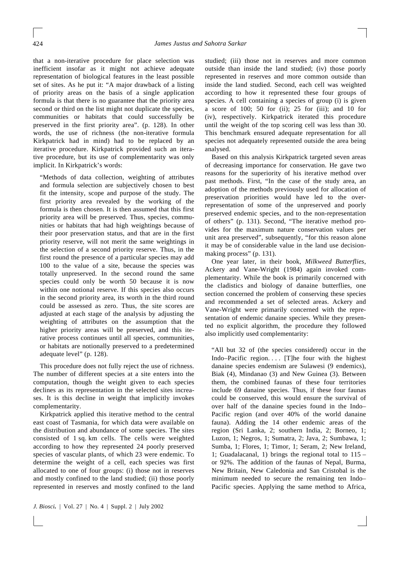that a non-iterative procedure for place selection was inefficient insofar as it might not achieve adequate representation of biological features in the least possible set of sites. As he put it: "A major drawback of a listing of priority areas on the basis of a single application formula is that there is no guarantee that the priority area second or third on the list might not duplicate the species, communities or habitats that could successfully be preserved in the first priority area". (p. 128). In other words, the use of richness (the non-iterative formula Kirkpatrick had in mind) had to be replaced by an iterative procedure. Kirkpatrick provided such an iterative procedure, but its use of complementarity was only implicit. In Kirkpatrick's words:

"Methods of data collection, weighting of attributes and formula selection are subjectively chosen to best fit the intensity, scope and purpose of the study. The first priority area revealed by the working of the formula is then chosen. It is then assumed that this first priority area will be preserved. Thus, species, communities or habitats that had high weightings because of their poor preservation status, and that are in the first priority reserve, will not merit the same weightings in the selection of a second priority reserve. Thus, in the first round the presence of a particular species may add 100 to the value of a site, because the species was totally unpreserved. In the second round the same species could only be worth 50 because it is now within one notional reserve. If this species also occurs in the second priority area, its worth in the third round could be assessed as zero. Thus, the site scores are adjusted at each stage of the analysis by adjusting the weighting of attributes on the assumption that the higher priority areas will be preserved, and this iterative process continues until all species, communities, or habitats are notionally preserved to a predetermined adequate level" (p. 128).

This procedure does not fully reject the use of richness. The number of different species at a site enters into the computation, though the weight given to each species declines as its representation in the selected sites increases. It is this decline in weight that implicitly invokes complementarity.

Kirkpatrick applied this iterative method to the central east coast of Tasmania, for which data were available on the distribution and abundance of some species. The sites consisted of 1 sq. km cells. The cells were weighted according to how they represented 24 poorly preserved species of vascular plants, of which 23 were endemic. To determine the weight of a cell, each species was first allocated to one of four groups: (i) those not in reserves and mostly confined to the land studied; (ii) those poorly represented in reserves and mostly confined to the land

studied; (iii) those not in reserves and more common outside than inside the land studied; (iv) those poorly represented in reserves and more common outside than inside the land studied. Second, each cell was weighted according to how it represented these four groups of species. A cell containing a species of group (i) is given a score of 100; 50 for (ii); 25 for (iii); and 10 for (iv), respectively. Kirkpatrick iterated this procedure until the weight of the top scoring cell was less than 30. This benchmark ensured adequate representation for all species not adequately represented outside the area being analysed.

Based on this analysis Kirkpatrick targeted seven areas of decreasing importance for conservation. He gave two reasons for the superiority of his iterative method over past methods. First, "In the case of the study area, an adoption of the methods previously used for allocation of preservation priorities would have led to the overrepresentation of some of the unpreserved and poorly preserved endemic species, and to the non-representation of others" (p. 131). Second, "The iterative method provides for the maximum nature conservation values per unit area preserved", subsequently, "for this reason alone it may be of considerable value in the land use decisionmaking process" (p. 131).

One year later, in their book, *Milkweed Butterflies*, Ackery and Vane-Wright (1984) again invoked complementarity. While the book is primarily concerned with the cladistics and biology of danaine butterflies, one section concerned the problem of conserving these species and recommended a set of selected areas. Ackery and Vane-Wright were primarily concerned with the representation of endemic danaine species. While they presented no explicit algorithm, the procedure they followed also implicitly used complementarity:

"All but 32 of (the species considered) occur in the Indo–Pacific region. . . . [T]he four with the highest danaine species endemism are Sulawesi (9 endemics), Biak (4), Mindanao (3) and New Guinea (3). Between them, the combined faunas of these four territories include 69 danaine species. Thus, if these four faunas could be conserved, this would ensure the survival of over half of the danaine species found in the Indo– Pacific region (and over 40% of the world danaine fauna). Adding the 14 other endemic areas of the region (Sri Lanka, 2; southern India, 2; Borneo, 1; Luzon, 1; Negros, 1; Sumatra, 2; Java, 2; Sumbawa, 1; Sumba, 1; Flores, 1; Timor, 1; Seram, 2; New Ireland, 1; Guadalacanal, 1) brings the regional total to  $115$ or 92%. The addition of the faunas of Nepal, Burma, New Britain, New Caledonia and San Cristobal is the minimum needed to secure the remaining ten Indo– Pacific species. Applying the same method to Africa,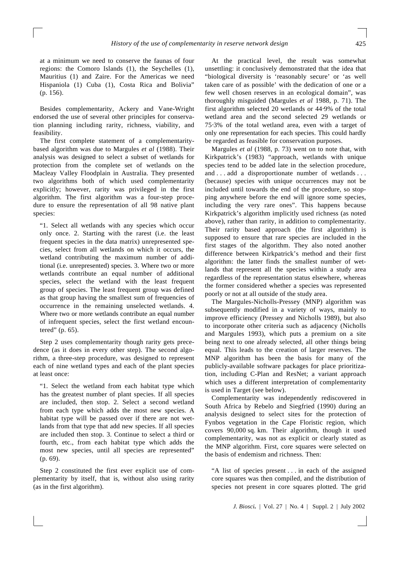at a minimum we need to conserve the faunas of four regions: the Comoro Islands (1), the Seychelles (1), Mauritius (1) and Zaire. For the Americas we need Hispaniola (1) Cuba (1), Costa Rica and Bolivia" (p. 156).

Besides complementarity, Ackery and Vane-Wright endorsed the use of several other principles for conservation planning including rarity, richness, viability, and feasibility.

The first complete statement of a complementaritybased algorithm was due to Margules *et al* (1988). Their analysis was designed to select a subset of wetlands for protection from the complete set of wetlands on the Macleay Valley Floodplain in Australia. They presented two algorithms both of which used complementarity explicitly; however, rarity was privileged in the first algorithm. The first algorithm was a four-step procedure to ensure the representation of all 98 native plant species:

"1. Select all wetlands with any species which occur only once. 2. Starting with the rarest (i.e. the least frequent species in the data matrix) unrepresented species, select from all wetlands on which it occurs, the wetland contributing the maximum number of additional (i.e. unrepresented) species. 3. Where two or more wetlands contribute an equal number of additional species, select the wetland with the least frequent group of species. The least frequent group was defined as that group having the smallest sum of frequencies of occurrence in the remaining unselected wetlands. 4. Where two or more wetlands contribute an equal number of infrequent species, select the first wetland encountered" (p. 65).

Step 2 uses complementarity though rarity gets precedence (as it does in every other step). The second algorithm, a three-step procedure, was designed to represent each of nine wetland types and each of the plant species at least once:

"1. Select the wetland from each habitat type which has the greatest number of plant species. If all species are included, then stop. 2. Select a second wetland from each type which adds the most new species. A habitat type will be passed over if there are not wetlands from that type that add new species. If all species are included then stop. 3. Continue to select a third or fourth, etc., from each habitat type which adds the most new species, until all species are represented" (p. 69).

Step 2 constituted the first ever explicit use of complementarity by itself, that is, without also using rarity (as in the first algorithm).

At the practical level, the result was somewhat unsettling: it conclusively demonstrated that the idea that "biological diversity is 'reasonably secure' or 'as well taken care of as possible' with the dedication of one or a few well chosen reserves in an ecological domain", was thoroughly misguided (Margules *et al* 1988, p. 71). The first algorithm selected 20 wetlands or 44⋅9% of the total wetland area and the second selected 29 wetlands or 75⋅3% of the total wetland area, even with a target of only one representation for each species. This could hardly be regarded as feasible for conservation purposes.

Margules *et al* (1988, p. 73) went on to note that, with Kirkpatrick's (1983) "approach, wetlands with unique species tend to be added late in the selection procedure, and . . . add a disproportionate number of wetlands . . . (because) species with unique occurrences may not be included until towards the end of the procedure, so stopping anywhere before the end will ignore some species, including the very rare ones". This happens because Kirkpatrick's algorithm implicitly used richness (as noted above), rather than rarity, in addition to complementarity. Their rarity based approach (the first algorithm) is supposed to ensure that rare species are included in the first stages of the algorithm. They also noted another difference between Kirkpatrick's method and their first algorithm: the latter finds the smallest number of wetlands that represent all the species within a study area regardless of the representation status elsewhere, whereas the former considered whether a species was represented poorly or not at all outside of the study area.

The Margules-Nicholls-Pressey (MNP) algorithm was subsequently modified in a variety of ways, mainly to improve efficiency (Pressey and Nicholls 1989), but also to incorporate other criteria such as adjacency (Nicholls and Margules 1993), which puts a premium on a site being next to one already selected, all other things being equal. This leads to the creation of larger reserves. The MNP algorithm has been the basis for many of the publicly-available software packages for place prioritization, including C-Plan and ResNet; a variant approach which uses a different interpretation of complementarity is used in Target (see below).

Complementarity was independently rediscovered in South Africa by Rebelo and Siegfried (1990) during an analysis designed to select sites for the protection of Fynbos vegetation in the Cape Floristic region, which covers 90,000 sq. km. Their algorithm, though it used complementarity, was not as explicit or clearly stated as the MNP algorithm. First, core squares were selected on the basis of endemism and richness. Then:

"A list of species present . . . in each of the assigned core squares was then compiled, and the distribution of species not present in core squares plotted. The grid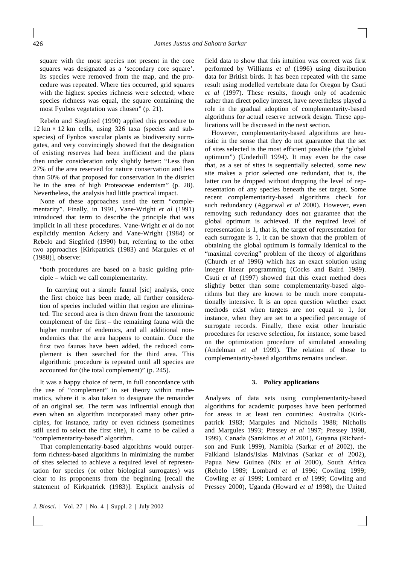square with the most species not present in the core squares was designated as a 'secondary core square'. Its species were removed from the map, and the procedure was repeated. Where ties occurred, grid squares with the highest species richness were selected; where species richness was equal, the square containing the most Fynbos vegetation was chosen" (p. 21).

Rebelo and Siegfried (1990) applied this procedure to  $12 \text{ km} \times 12 \text{ km}$  cells, using 326 taxa (species and subspecies) of Fynbos vascular plants as biodiversity surrogates, and very convincingly showed that the designation of existing reserves had been inefficient and the plans then under consideration only slightly better: "Less than 27% of the area reserved for nature conservation and less than 50% of that proposed for conservation in the district lie in the area of high Proteaceae endemism" (p. 28). Nevertheless, the analysis had little practical impact.

None of these approaches used the term "complementarity". Finally, in 1991, Vane-Wright *et al* (1991) introduced that term to describe the principle that was implicit in all these procedures. Vane-Wright *et al* do not explicitly mention Ackery and Vane-Wright (1984) or Rebelo and Siegfried (1990) but, referring to the other two approaches [Kirkpatrick (1983) and Margules *et al* (1988)], observe:

"both procedures are based on a basic guiding principle – which we call complementarity.

In carrying out a simple faunal [sic] analysis, once the first choice has been made, all further consideration of species included within that region are eliminated. The second area is then drawn from the taxonomic complement of the first – the remaining fauna with the higher number of endemics, and all additional nonendemics that the area happens to contain. Once the first two faunas have been added, the reduced complement is then searched for the third area. This algorithmic procedure is repeated until all species are accounted for (the total complement)" (p. 245).

It was a happy choice of term, in full concordance with the use of "complement" in set theory within mathematics, where it is also taken to designate the remainder of an original set. The term was influential enough that even when an algorithm incorporated many other principles, for instance, rarity or even richness (sometimes still used to select the first site), it came to be called a "complementarity-based" algorithm.

That complementarity-based algorithms would outperform richness-based algorithms in minimizing the number of sites selected to achieve a required level of representation for species (or other biological surrogates) was clear to its proponents from the beginning [recall the statement of Kirkpatrick (1983)]. Explicit analysis of

*J. Biosci.* | Vol. 27 | No. 4 | Suppl. 2 | July 2002

field data to show that this intuition was correct was first performed by Williams *et al* (1996) using distribution data for British birds. It has been repeated with the same result using modelled vertebrate data for Oregon by Csuti *et al* (1997). These results, though only of academic rather than direct policy interest, have nevertheless played a role in the gradual adoption of complementarity-based algorithms for actual reserve network design. These applications will be discussed in the next section.

However, complementarity-based algorithms are heuristic in the sense that they do not guarantee that the set of sites selected is the most efficient possible (the "global optimum") (Underhill 1994). It may even be the case that, as a set of sites is sequentially selected, some new site makes a prior selected one redundant, that is, the latter can be dropped without dropping the level of representation of any species beneath the set target. Some recent complementarity-based algorithms check for such redundancy (Aggarwal *et al* 2000). However, even removing such redundancy does not guarantee that the global optimum is achieved. If the required level of representation is 1, that is, the target of representation for each surrogate is 1, it can be shown that the problem of obtaining the global optimum is formally identical to the "maximal covering" problem of the theory of algorithms (Church *et al* 1996) which has an exact solution using integer linear programming (Cocks and Baird 1989). Csuti *et al* (1997) showed that this exact method does slightly better than some complementarity-based algorithms but they are known to be much more computationally intensive. It is an open question whether exact methods exist when targets are not equal to 1, for instance, when they are set to a specified percentage of surrogate records. Finally, there exist other heuristic procedures for reserve selection, for instance, some based on the optimization procedure of simulated annealing (Andelman *et al* 1999). The relation of these to complementarity-based algorithms remains unclear.

#### **3. Policy applications**

Analyses of data sets using complementarity-based algorithms for academic purposes have been performed for areas in at least ten countries: Australia (Kirkpatrick 1983; Margules and Nicholls 1988; Nicholls and Margules 1993; Pressey *et al* 1997; Pressey 1998, 1999), Canada (Sarakinos *et al* 2001), Guyana (Richardson and Funk 1999), Namibia (Sarkar *et al* 2002), the Falkland Islands/Islas Malvinas (Sarkar *et al* 2002), Papua New Guinea (Nix *et al* 2000), South Africa (Rebelo 1989; Lombard *et al* 1996; Cowling 1999; Cowling *et al* 1999; Lombard *et al* 1999; Cowling and Pressey 2000), Uganda (Howard *et al* 1998), the United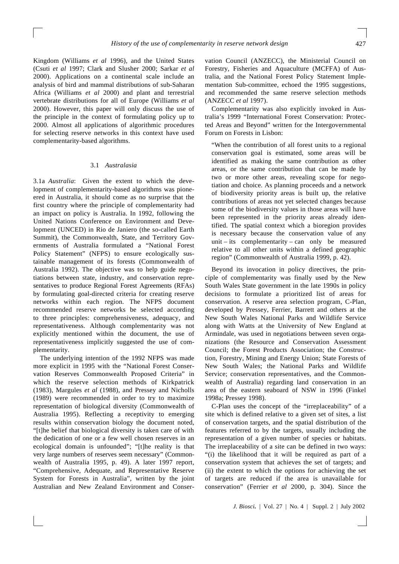Kingdom (Williams *et al* 1996), and the United States (Csuti *et al* 1997; Clark and Slusher 2000; Sarkar *et al* 2000). Applications on a continental scale include an analysis of bird and mammal distributions of sub-Saharan Africa (Williams *et al* 2000) and plant and terrestrial vertebrate distributions for all of Europe (Williams *et al*

2000). However, this paper will only discuss the use of the principle in the context of formulating policy up to 2000. Almost all applications of algorithmic procedures for selecting reserve networks in this context have used complementarity-based algorithms.

## 3.1 *Australasia*

3.1a *Australia*: Given the extent to which the development of complementarity-based algorithms was pioneered in Australia, it should come as no surprise that the first country where the principle of complementarity had an impact on policy is Australia. In 1992, following the United Nations Conference on Environment and Development (UNCED) in Rio de Janiero (the so-called Earth Summit), the Commonwealth, State, and Territory Governments of Australia formulated a "National Forest Policy Statement" (NFPS) to ensure ecologically sustainable management of its forests (Commonwealth of Australia 1992). The objective was to help guide negotiations between state, industry, and conservation representatives to produce Regional Forest Agreements (RFAs) by formulating goal-directed criteria for creating reserve networks within each region. The NFPS document recommended reserve networks be selected according to three principles: comprehensiveness, adequacy, and representativeness. Although complementarity was not explicitly mentioned within the document, the use of representativeness implicitly suggested the use of complementarity.

The underlying intention of the 1992 NFPS was made more explicit in 1995 with the "National Forest Conservation Reserves Commonwealth Proposed Criteria" in which the reserve selection methods of Kirkpatrick (1983), Margules *et al* (1988), and Pressey and Nicholls (1989) were recommended in order to try to maximize representation of biological diversity (Commonwealth of Australia 1995). Reflecting a receptivity to emerging results within conservation biology the document noted, "[t]he belief that biological diversity is taken care of with the dedication of one or a few well chosen reserves in an ecological domain is unfounded"; "[t]he reality is that very large numbers of reserves seem necessary" (Commonwealth of Australia 1995, p. 49). A later 1997 report, "Comprehensive, Adequate, and Representative Reserve System for Forests in Australia", written by the joint Australian and New Zealand Environment and Conservation Council (ANZECC), the Ministerial Council on Forestry, Fisheries and Aquaculture (MCFFA) of Australia, and the National Forest Policy Statement Implementation Sub-committee, echoed the 1995 suggestions, and recommended the same reserve selection methods (ANZECC *et al* 1997).

Complementarity was also explicitly invoked in Australia's 1999 "International Forest Conservation: Protected Areas and Beyond" written for the Intergovernmental Forum on Forests in Lisbon:

"When the contribution of all forest units to a regional conservation goal is estimated, some areas will be identified as making the same contribution as other areas, or the same contribution that can be made by two or more other areas, revealing scope for negotiation and choice. As planning proceeds and a network of biodiversity priority areas is built up, the relative contributions of areas not yet selected changes because some of the biodiversity values in those areas will have been represented in the priority areas already identified. The spatial context which a bioregion provides is necessary because the conservation value of any unit – its complementarity – can only be measured relative to all other units within a defined geographic region" (Commonwealth of Australia 1999, p. 42).

Beyond its invocation in policy directives, the principle of complementarity was finally used by the New South Wales State government in the late 1990s in policy decisions to formulate a prioritized list of areas for conservation. A reserve area selection program, C-Plan, developed by Pressey, Ferrier, Barrett and others at the New South Wales National Parks and Wildlife Service along with Watts at the University of New England at Armindale, was used in negotiations between seven organizations (the Resource and Conservation Assessment Council; the Forest Products Association; the Construction, Forestry, Mining and Energy Union; State Forests of New South Wales; the National Parks and Wildlife Service; conservation representatives, and the Commonwealth of Australia) regarding land conservation in an area of the eastern seaboard of NSW in 1996 (Finkel 1998a; Pressey 1998).

C-Plan uses the concept of the "irreplaceability" of a site which is defined relative to a given set of sites, a list of conservation targets, and the spatial distribution of the features referred to by the targets, usually including the representation of a given number of species or habitats. The irreplaceability of a site can be defined in two ways: "(i) the likelihood that it will be required as part of a conservation system that achieves the set of targets; and (ii) the extent to which the options for achieving the set of targets are reduced if the area is unavailable for conservation" (Ferrier *et al* 2000, p. 304). Since the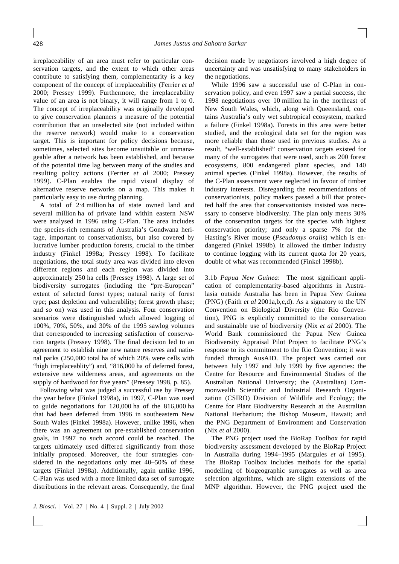irreplaceability of an area must refer to particular conservation targets, and the extent to which other areas contribute to satisfying them, complementarity is a key component of the concept of irreplaceability (Ferrier *et al*  2000; Pressey 1999). Furthermore, the irreplaceability value of an area is not binary, it will range from 1 to 0. The concept of irreplaceability was originally developed to give conservation planners a measure of the potential contribution that an unselected site (not included within the reserve network) would make to a conservation target. This is important for policy decisions because, sometimes, selected sites become unsuitable or unmanageable after a network has been established, and because of the potential time lag between many of the studies and resulting policy actions (Ferrier *et al* 2000; Pressey 1999). C-Plan enables the rapid visual display of alternative reserve networks on a map. This makes it particularly easy to use during planning.

A total of 2⋅4 million ha of state owned land and several million ha of private land within eastern NSW were analysed in 1996 using C-Plan. The area includes the species-rich remnants of Australia's Gondwana heritage, important to conservationists, but also covered by lucrative lumber production forests, crucial to the timber industry (Finkel 1998a; Pressey 1998). To facilitate negotiations, the total study area was divided into eleven different regions and each region was divided into approximately 250 ha cells (Pressey 1998). A large set of biodiversity surrogates (including the "pre-European" extent of selected forest types; natural rarity of forest type; past depletion and vulnerability; forest growth phase; and so on) was used in this analysis. Four conservation scenarios were distinguished which allowed logging of 100%, 70%, 50%, and 30% of the 1995 sawlog volumes that corresponded to increasing satisfaction of conservation targets (Pressey 1998). The final decision led to an agreement to establish nine new nature reserves and national parks (250,000 total ha of which 20% were cells with "high irreplaceablity") and, "816,000 ha of deferred forest, extensive new wilderness areas, and agreements on the supply of hardwood for five years" (Pressey 1998, p. 85).

Following what was judged a successful use by Pressey the year before (Finkel 1998a), in 1997, C-Plan was used to guide negotiations for 120,000 ha of the 816,000 ha that had been deferred from 1996 in southeastern New South Wales (Finkel 1998a). However, unlike 1996, when there was an agreement on pre-established conservation goals, in 1997 no such accord could be reached. The targets ultimately used differed significantly from those initially proposed. Moreover, the four strategies considered in the negotiations only met 40–50% of these targets (Finkel 1998a). Additionally, again unlike 1996, C-Plan was used with a more limited data set of surrogate distributions in the relevant areas. Consequently, the final decision made by negotiators involved a high degree of uncertainty and was unsatisfying to many stakeholders in the negotiations.

While 1996 saw a successful use of C-Plan in conservation policy, and even 1997 saw a partial success, the 1998 negotiations over 10 million ha in the northeast of New South Wales, which, along with Queensland, contains Australia's only wet subtropical ecosystem, marked a failure (Finkel 1998a). Forests in this area were better studied, and the ecological data set for the region was more reliable than those used in previous studies. As a result, "well-established" conservation targets existed for many of the surrogates that were used, such as 200 forest ecosystems, 800 endangered plant species, and 140 animal species (Finkel 1998a). However, the results of the C-Plan assessment were neglected in favour of timber industry interests. Disregarding the recommendations of conservationists, policy makers passed a bill that protected half the area that conservationists insisted was necessary to conserve biodiversity. The plan only meets 30% of the conservation targets for the species with highest conservation priority; and only a sparse 7% for the Hasting's River mouse (*Pseudomys oralis*) which is endangered (Finkel 1998b). It allowed the timber industry to continue logging with its current quota for 20 years, double of what was recommended (Finkel 1998b).

3.1b *Papua New Guinea*: The most significant application of complementarity-based algorithms in Australasia outside Australia has been in Papua New Guinea (PNG) (Faith *et al* 2001a,b,c,d). As a signatory to the UN Convention on Biological Diversity (the Rio Convention), PNG is explicitly committed to the conservation and sustainable use of biodiversity (Nix *et al* 2000). The World Bank commissioned the Papua New Guinea Biodiversity Appraisal Pilot Project to facilitate PNG's response to its commitment to the Rio Convention; it was funded through AusAID. The project was carried out between July 1997 and July 1999 by five agencies: the Centre for Resource and Environmental Studies of the Australian National University; the (Australian) Commonwealth Scientific and Industrial Research Organization (CSIRO) Division of Wildlife and Ecology; the Centre for Plant Biodiversity Research at the Australian National Herbarium; the Bishop Museum, Hawaii; and the PNG Department of Environment and Conservation (Nix *et al* 2000).

The PNG project used the BioRap Toolbox for rapid biodiversity assessment developed by the BioRap Project in Australia during 1994–1995 (Margules *et al* 1995). The BioRap Toolbox includes methods for the spatial modelling of biogeographic surrogates as well as area selection algorithms, which are slight extensions of the MNP algorithm. However, the PNG project used the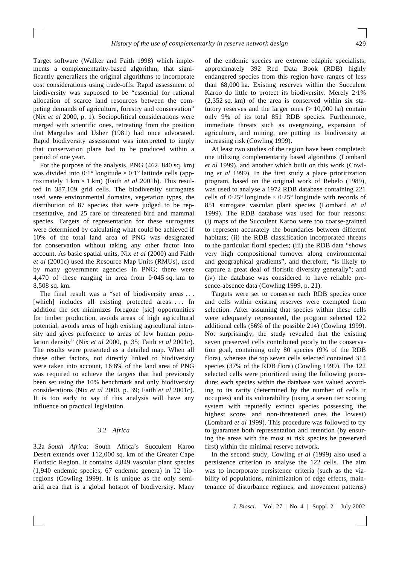Target software (Walker and Faith 1998) which implements a complementarity-based algorithm, that significantly generalizes the original algorithms to incorporate cost considerations using trade-offs. Rapid assessment of biodiversity was supposed to be "essential for rational allocation of scarce land resources between the competing demands of agriculture, forestry and conservation" (Nix *et al* 2000, p. 1). Sociopolitical considerations were merged with scientific ones, retreating from the position that Margules and Usher (1981) had once advocated. Rapid biodiversity assessment was interpreted to imply that conservation plans had to be produced within a period of one year.

For the purpose of the analysis, PNG (462, 840 sq. km) was divided into  $0.1^{\circ}$  longitude  $\times 0.1^{\circ}$  latitude cells (approximately 1 km × 1 km) (Faith *et al* 2001b). This resulted in 387,109 grid cells. The biodiversity surrogates used were environmental domains, vegetation types, the distribution of 87 species that were judged to be representative, and 25 rare or threatened bird and mammal species. Targets of representation for these surrogates were determined by calculating what could be achieved if 10% of the total land area of PNG was designated for conservation without taking any other factor into account. As basic spatial units, Nix *et al* (2000) and Faith *et al* (2001c) used the Resource Map Units (RMUs), used by many government agencies in PNG; there were 4,470 of these ranging in area from 0⋅045 sq. km to 8,508 sq. km.

The final result was a "set of biodiversity areas . . . [which] includes all existing protected areas.... In addition the set minimizes foregone [sic] opportunities for timber production, avoids areas of high agricultural potential, avoids areas of high existing agricultural intensity and gives preference to areas of low human population density" (Nix *et al* 2000, p. 35; Faith *et al* 2001c). The results were presented as a detailed map. When all these other factors, not directly linked to biodiversity were taken into account, 16⋅8% of the land area of PNG was required to achieve the targets that had previously been set using the 10% benchmark and only biodiversity considerations (Nix *et al* 2000, p. 39; Faith *et al* 2001c). It is too early to say if this analysis will have any influence on practical legislation.

#### 3.2 *Africa*

3.2a *South Africa*: South Africa's Succulent Karoo Desert extends over 112,000 sq. km of the Greater Cape Floristic Region. It contains 4,849 vascular plant species (1,940 endemic species; 67 endemic genera) in 12 bioregions (Cowling 1999). It is unique as the only semiarid area that is a global hotspot of biodiversity. Many of the endemic species are extreme edaphic specialists; approximately 392 Red Data Book (RDB) highly endangered species from this region have ranges of less than 68,000 ha. Existing reserves within the Succulent Karoo do little to protect its biodiversity. Merely 2⋅1% (2,352 sq. km) of the area is conserved within six statutory reserves and the larger ones  $(> 10,000$  ha) contain only 9% of its total 851 RDB species. Furthermore, immediate threats such as overgrazing, expansion of agriculture, and mining, are putting its biodiversity at increasing risk (Cowling 1999).

At least two studies of the region have been completed: one utilizing complementarity based algorithms (Lombard *et al* 1999), and another which built on this work (Cowling *et al* 1999). In the first study a place prioritization program, based on the original work of Rebelo (1989), was used to analyse a 1972 RDB database containing 221 cells of  $0.25^{\circ}$  longitude ×  $0.25^{\circ}$  longitude with records of 851 surrogate vascular plant species (Lombard *et al* 1999). The RDB database was used for four reasons: (i) maps of the Succulent Karoo were too coarse-grained to represent accurately the boundaries between different habitats; (ii) the RDB classification incorporated threats to the particular floral species; (iii) the RDB data "shows very high compositional turnover along environmental and geographical gradients", and therefore, "is likely to capture a great deal of floristic diversity generally"; and (iv) the database was considered to have reliable presence-absence data (Cowling 1999, p. 21).

Targets were set to conserve each RDB species once and cells within existing reserves were exempted from selection. After assuming that species within these cells were adequately represented, the program selected 122 additional cells (56% of the possible 214) (Cowling 1999). Not surprisingly, the study revealed that the existing seven preserved cells contributed poorly to the conservation goal, containing only 80 species (9% of the RDB flora), whereas the top seven cells selected contained 314 species (37% of the RDB flora) (Cowling 1999). The 122 selected cells were prioritized using the following procedure: each species within the database was valued according to its rarity (determined by the number of cells it occupies) and its vulnerability (using a seven tier scoring system with reputedly extinct species possessing the highest score, and non-threatened ones the lowest) (Lombard *et al* 1999). This procedure was followed to try to guarantee both representation and retention (by ensuring the areas with the most at risk species be preserved first) within the minimal reserve network.

In the second study, Cowling *et al* (1999) also used a persistence criterion to analyse the 122 cells. The aim was to incorporate persistence criteria (such as the viability of populations, minimization of edge effects, maintenance of disturbance regimes, and movement patterns)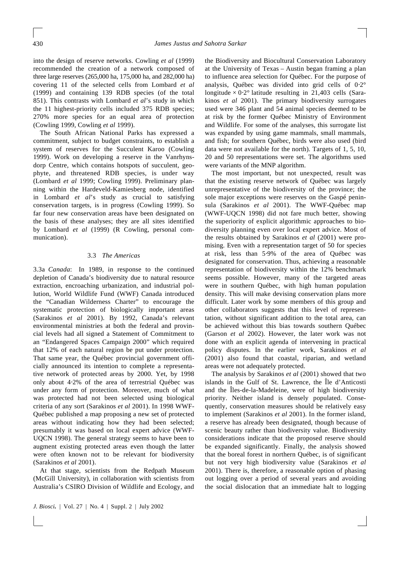into the design of reserve networks. Cowling *et al* (1999) recommended the creation of a network composed of three large reserves (265,000 ha, 175,000 ha, and 282,000 ha) covering 11 of the selected cells from Lombard *et al* (1999) and containing 139 RDB species (of the total 851). This contrasts with Lombard *et al*'s study in which the 11 highest-priority cells included 375 RDB species; 270% more species for an equal area of protection (Cowling 1999, Cowling *et al* 1999).

The South African National Parks has expressed a commitment, subject to budget constraints, to establish a system of reserves for the Succulent Karoo (Cowling 1999). Work on developing a reserve in the Vanrhynsdorp Centre, which contains hotspots of succulent, geophyte, and threatened RDB species, is under way (Lombard *et al* 1999; Cowling 1999). Preliminary planning within the Hardeveld-Kamiesberg node, identified in Lombard *et al*'s study as crucial to satisfying conservation targets, is in progress (Cowling 1999). So far four new conservation areas have been designated on the basis of these analyses; they are all sites identified by Lombard *et al* (1999) (R Cowling, personal communication).

### 3.3 *The Americas*

3.3a *Canada*: In 1989, in response to the continued depletion of Canada's biodiversity due to natural resource extraction, encroaching urbanization, and industrial pollution, World Wildlife Fund (WWF) Canada introduced the "Canadian Wilderness Charter" to encourage the systematic protection of biologically important areas (Sarakinos *et al* 2001). By 1992, Canada's relevant environmental ministries at both the federal and provincial levels had all signed a Statement of Commitment to an "Endangered Spaces Campaign 2000" which required that 12% of each natural region be put under protection. That same year, the Québec provincial government officially announced its intention to complete a representative network of protected areas by 2000. Yet, by 1998 only about 4⋅2% of the area of terrestrial Québec was under any form of protection. Moreover, much of what was protected had not been selected using biological criteria of any sort (Sarakinos *et al* 2001). In 1998 WWF-Québec published a map proposing a new set of protected areas without indicating how they had been selected; presumably it was based on local expert advice (WWF-UQCN 1998). The general strategy seems to have been to augment existing protected areas even though the latter were often known not to be relevant for biodiversity (Sarakinos *et al* 2001).

At that stage, scientists from the Redpath Museum (McGill University), in collaboration with scientists from Australia's CSIRO Division of Wildlife and Ecology, and the Biodiversity and Biocultural Conservation Laboratory at the University of Texas – Austin began framing a plan to influence area selection for Québec. For the purpose of analysis, Québec was divided into grid cells of 0⋅2° longitude  $\times$  0⋅2° latitude resulting in 21,403 cells (Sarakinos *et al* 2001). The primary biodiversity surrogates used were 346 plant and 54 animal species deemed to be at risk by the former Québec Ministry of Environment and Wildlife. For some of the analyses, this surrogate list was expanded by using game mammals, small mammals, and fish; for southern Québec, birds were also used (bird data were not available for the north). Targets of 1, 5, 10, 20 and 50 representations were set. The algorithms used were variants of the MNP algorithm.

The most important, but not unexpected, result was that the existing reserve network of Québec was largely unrepresentative of the biodiversity of the province; the sole major exceptions were reserves on the Gaspé peninsula (Sarakinos *et al* 2001). The WWF-Québec map (WWF-UQCN 1998) did not fare much better, showing the superiority of explicit algorithmic approaches to biodiversity planning even over local expert advice. Most of the results obtained by Sarakinos *et al* (2001) were promising. Even with a representation target of 50 for species at risk, less than 5⋅9% of the area of Québec was designated for conservation. Thus, achieving a reasonable representation of biodiversity within the 12% benchmark seems possible. However, many of the targeted areas were in southern Québec, with high human population density. This will make devising conservation plans more difficult. Later work by some members of this group and other collaborators suggests that this level of representation, without significant addition to the total area, can be achieved without this bias towards southern Québec (Garson *et al* 2002). However, the later work was not done with an explicit agenda of intervening in practical policy disputes. In the earlier work, Sarakinos *et al* (2001) also found that coastal, riparian, and wetland areas were not adequately protected.

The analysis by Sarakinos *et al* (2001) showed that two islands in the Gulf of St. Lawrence, the Île d'Anticosti and the Îles-de-la-Madeleine, were of high biodiversity priority. Neither island is densely populated. Consequently, conservation measures should be relatively easy to implement (Sarakinos *et al* 2001). In the former island, a reserve has already been designated, though because of scenic beauty rather than biodiversity value. Biodiversity considerations indicate that the proposed reserve should be expanded significantly. Finally, the analysis showed that the boreal forest in northern Québec, is of significant but not very high biodiversity value (Sarakinos *et al* 2001). There is, therefore, a reasonable option of phasing out logging over a period of several years and avoiding the social dislocation that an immediate halt to logging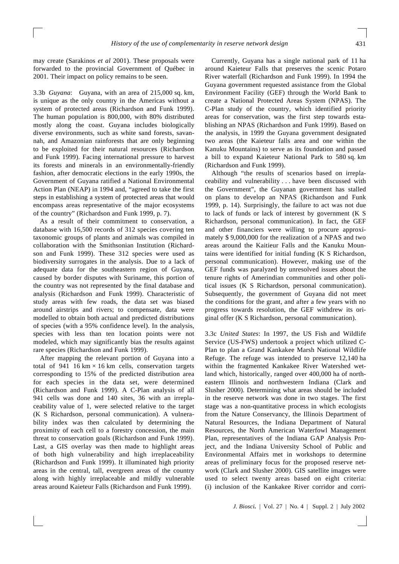may create (Sarakinos *et al* 2001). These proposals were forwarded to the provincial Government of Québec in 2001. Their impact on policy remains to be seen.

3.3b *Guyana*: Guyana, with an area of 215,000 sq. km, is unique as the only country in the Americas without a system of protected areas (Richardson and Funk 1999). The human population is 800,000, with 80% distributed mostly along the coast. Guyana includes biologically diverse environments, such as white sand forests, savannah, and Amazonian rainforests that are only beginning to be exploited for their natural resources (Richardson and Funk 1999). Facing international pressure to harvest its forests and minerals in an environmentally-friendly fashion, after democratic elections in the early 1990s, the Government of Guyana ratified a National Environmental Action Plan (NEAP) in 1994 and, "agreed to take the first steps in establishing a system of protected areas that would encompass areas representative of the major ecosystems of the country" (Richardson and Funk 1999, p. 7).

As a result of their commitment to conservation, a database with 16,500 records of 312 species covering ten taxonomic groups of plants and animals was compiled in collaboration with the Smithsonian Institution (Richardson and Funk 1999). These 312 species were used as biodiversity surrogates in the analysis. Due to a lack of adequate data for the southeastern region of Guyana, caused by border disputes with Suriname, this portion of the country was not represented by the final database and analysis (Richardson and Funk 1999). Characteristic of study areas with few roads, the data set was biased around airstrips and rivers; to compensate, data were modelled to obtain both actual and predicted distributions of species (with a 95% confidence level). In the analysis, species with less than ten location points were not modeled, which may significantly bias the results against rare species (Richardson and Funk 1999).

After mapping the relevant portion of Guyana into a total of 941 16 km  $\times$  16 km cells, conservation targets corresponding to 15% of the predicted distribution area for each species in the data set, were determined (Richardson and Funk 1999). A C-Plan analysis of all 941 cells was done and 140 sites, 36 with an irreplaceability value of 1, were selected relative to the target (K S Richardson, personal communication). A vulnerability index was then calculated by determining the proximity of each cell to a forestry concession, the main threat to conservation goals (Richardson and Funk 1999). Last, a GIS overlay was then made to highlight areas of both high vulnerability and high irreplaceability (Richardson and Funk 1999). It illuminated high priority areas in the central, tall, evergreen areas of the country along with highly irreplaceable and mildly vulnerable areas around Kaieteur Falls (Richardson and Funk 1999).

Currently, Guyana has a single national park of 11 ha around Kaieteur Falls that preserves the scenic Potaro River waterfall (Richardson and Funk 1999). In 1994 the Guyana government requested assistance from the Global Environment Facility (GEF) through the World Bank to create a National Protected Areas System (NPAS). The C-Plan study of the country, which identified priority areas for conservation, was the first step towards establishing an NPAS (Richardson and Funk 1999). Based on the analysis, in 1999 the Guyana government designated two areas (the Kaieteur falls area and one within the Kanuku Mountains) to serve as its foundation and passed a bill to expand Kaieteur National Park to 580 sq. km (Richardson and Funk 1999).

Although "the results of scenarios based on irreplaceability and vulnerability . . . have been discussed with the Government", the Guyanan government has stalled on plans to develop an NPAS (Richardson and Funk 1999, p. 14). Surprisingly, the failure to act was not due to lack of funds or lack of interest by government (K S Richardson, personal communication). In fact, the GEF and other financiers were willing to procure approximately \$ 9,000,000 for the realization of a NPAS and two areas around the Kaitieur Falls and the Kanuku Mountains were identified for initial funding (K S Richardson, personal communication). However, making use of the GEF funds was paralyzed by unresolved issues about the tenure rights of Amerindian communities and other political issues (K S Richardson, personal communication). Subsequently, the government of Guyana did not meet the conditions for the grant, and after a few years with no progress towards resolution, the GEF withdrew its original offer (K S Richardson, personal communication).

3.3c *United States*: In 1997, the US Fish and Wildlife Service (US-FWS) undertook a project which utilized C-Plan to plan a Grand Kankakee Marsh National Wildlife Refuge. The refuge was intended to preserve 12,140 ha within the fragmented Kankakee River Watershed wetland which, historically, ranged over 400,000 ha of northeastern Illinois and northwestern Indiana (Clark and Slusher 2000). Determining what areas should be included in the reserve network was done in two stages. The first stage was a non-quantitative process in which ecologists from the Nature Conservancy, the Illinois Department of Natural Resources, the Indiana Department of Natural Resources, the North American Waterfowl Management Plan, representatives of the Indiana GAP Analysis Project, and the Indiana University School of Public and Environmental Affairs met in workshops to determine areas of preliminary focus for the proposed reserve network (Clark and Slusher 2000). GIS satellite images were used to select twenty areas based on eight criteria: (i) inclusion of the Kankakee River corridor and corri-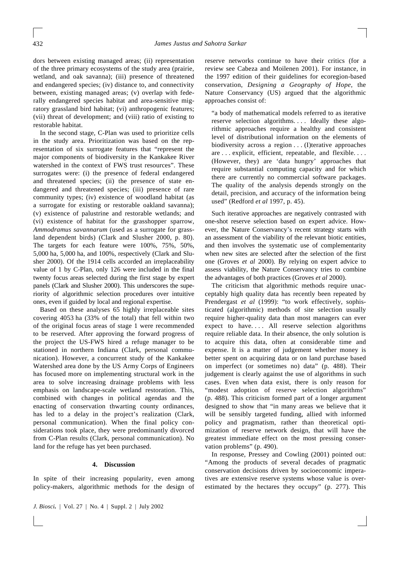dors between existing managed areas; (ii) representation of the three primary ecosystems of the study area (prairie, wetland, and oak savanna); (iii) presence of threatened and endangered species; (iv) distance to, and connectivity between, existing managed areas; (v) overlap with federally endangered species habitat and area-sensitive migratory grassland bird habitat; (vi) anthropogenic features; (vii) threat of development; and (viii) ratio of existing to restorable habitat.

In the second stage, C-Plan was used to prioritize cells in the study area. Prioritization was based on the representation of six surrogate features that "represent the major components of biodiversity in the Kankakee River watershed in the context of FWS trust resources". These surrogates were: (i) the presence of federal endangered and threatened species; (ii) the presence of state endangered and threatened species; (iii) presence of rare community types; (iv) existence of woodland habitat (as a surrogate for existing or restorable oakland savanna); (v) existence of palustrine and restorable wetlands; and (vi) existence of habitat for the grasshopper sparrow, *Ammodramus savannarum* (used as a surrogate for grassland dependent birds) (Clark and Slusher 2000, p. 80). The targets for each feature were 100%, 75%, 50%, 5,000 ha, 5,000 ha, and 100%, respectively (Clark and Slusher 2000). Of the 1914 cells accorded an irreplaceability value of 1 by C-Plan, only 126 were included in the final twenty focus areas selected during the first stage by expert panels (Clark and Slusher 2000). This underscores the superiority of algorithmic selection procedures over intuitive ones, even if guided by local and regional expertise.

Based on these analyses 65 highly irreplaceable sites covering 4053 ha (33% of the total) that fell within two of the original focus areas of stage 1 were recommended to be reserved. After approving the forward progress of the project the US-FWS hired a refuge manager to be stationed in northern Indiana (Clark, personal communication). However, a concurrent study of the Kankakee Watershed area done by the US Army Corps of Engineers has focused more on implementing structural work in the area to solve increasing drainage problems with less emphasis on landscape-scale wetland restoration. This, combined with changes in political agendas and the enacting of conservation thwarting county ordinances, has led to a delay in the project's realization (Clark, personal communication). When the final policy considerations took place, they were predominantly divorced from C-Plan results (Clark, personal communication). No land for the refuge has yet been purchased.

#### **4. Discussion**

In spite of their increasing popularity, even among policy-makers, algorithmic methods for the design of

*J. Biosci.* | Vol. 27 | No. 4 | Suppl. 2 | July 2002

reserve networks continue to have their critics (for a review see Cabeza and Moilenen 2001). For instance, in the 1997 edition of their guidelines for ecoregion-based conservation, *Designing a Geography of Hope*, the Nature Conservancy (US) argued that the algorithmic approaches consist of:

"a body of mathematical models referred to as iterative reserve selection algorithms. . . . Ideally these algorithmic approaches require a healthy and consistent level of distributional information on the elements of biodiversity across a region . . . (I)terative approaches are . . . explicit, efficient, repeatable, and flexible. . . . (However, they) are 'data hungry' approaches that require substantial computing capacity and for which there are currently no commercial software packages. The quality of the analysis depends strongly on the detail, precision, and accuracy of the information being used" (Redford *et al* 1997, p. 45).

Such iterative approaches are negatively contrasted with one-shot reserve selection based on expert advice. However, the Nature Conservancy's recent strategy starts with an assessment of the viability of the relevant biotic entities, and then involves the systematic use of complementarity when new sites are selected after the selection of the first one (Groves *et al* 2000). By relying on expert advice to assess viability, the Nature Conservancy tries to combine the advantages of both practices (Groves *et al* 2000).

The criticism that algorithmic methods require unacceptably high quality data has recently been repeated by Prendergast *et al* (1999): "to work effectively, sophisticated (algorithmic) methods of site selection usually require higher-quality data than most managers can ever expect to have.... All reserve selection algorithms require reliable data. In their absence, the only solution is to acquire this data, often at considerable time and expense. It is a matter of judgement whether money is better spent on acquiring data or on land purchase based on imperfect (or sometimes no) data" (p. 488). Their judgement is clearly against the use of algorithms in such cases. Even when data exist, there is only reason for "modest adoption of reserve selection algorithms" (p. 488). This criticism formed part of a longer argument designed to show that "in many areas we believe that it will be sensibly targeted funding, allied with informed policy and pragmatism, rather than theoretical optimization of reserve network design, that will have the greatest immediate effect on the most pressing conservation problems" (p. 490).

In response, Pressey and Cowling (2001) pointed out: "Among the products of several decades of pragmatic conservation decisions driven by socioeconomic imperatives are extensive reserve systems whose value is overestimated by the hectares they occupy" (p. 277). This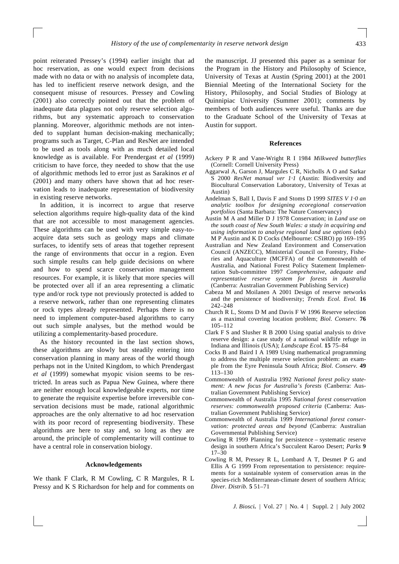point reiterated Pressey's (1994) earlier insight that ad hoc reservation, as one would expect from decisions made with no data or with no analysis of incomplete data, has led to inefficient reserve network design, and the consequent misuse of resources. Pressey and Cowling (2001) also correctly pointed out that the problem of inadequate data plagues not only reserve selection algorithms, but any systematic approach to conservation planning. Moreover, algorithmic methods are not intended to supplant human decision-making mechanically; programs such as Target, C-Plan and ResNet are intended to be used as tools along with as much detailed local knowledge as is available. For Prendergast *et al* (1999) criticism to have force, they needed to show that the use of algorithmic methods led to error just as Sarakinos *et al* (2001) and many others have shown that ad hoc reservation leads to inadequate representation of biodiversity in existing reserve networks.

In addition, it is incorrect to argue that reserve selection algorithms require high-quality data of the kind that are not accessible to most management agencies. These algorithms can be used with very simple easy-toacquire data sets such as geology maps and climate surfaces, to identify sets of areas that together represent the range of environments that occur in a region. Even such simple results can help guide decisions on where and how to spend scarce conservation management resources. For example, it is likely that more species will be protected over all if an area representing a climatic type and/or rock type not previously protected is added to a reserve network, rather than one representing climates or rock types already represented. Perhaps there is no need to implement computer-based algorithms to carry out such simple analyses, but the method would be utilizing a complementarity-based procedure.

As the history recounted in the last section shows, these algorithms are slowly but steadily entering into conservation planning in many areas of the world though perhaps not in the United Kingdom, to which Prendergast *et al* (1999) somewhat myopic vision seems to be restricted. In areas such as Papua New Guinea, where there are neither enough local knowledgeable experts, nor time to generate the requisite expertise before irreversible conservation decisions must be made, rational algorithmic approaches are the only alternative to ad hoc reservation with its poor record of representing biodiversity. These algorithms are here to stay and, so long as they are around, the principle of complementarity will continue to have a central role in conservation biology.

#### **Acknowledgements**

We thank F Clark, R M Cowling, C R Margules, R L Pressy and K S Richardson for help and for comments on the manuscript. JJ presented this paper as a seminar for the Program in the History and Philosophy of Science, University of Texas at Austin (Spring 2001) at the 2001 Biennial Meeting of the International Society for the History, Philosophy, and Social Studies of Biology at Quinnipiac University (Summer 2001); comments by members of both audiences were useful. Thanks are due to the Graduate School of the University of Texas at Austin for support.

#### **References**

- Ackery P R and Vane-Wright R I 1984 *Milkweed butterflies* (Cornell: Cornell University Press)
- Aggarwal A, Garson J, Margules C R, Nicholls A O and Sarkar S 2000 *ResNet manual ver 1×1* (Austin: Biodiversity and Biocultural Conservation Laboratory, University of Texas at Austin)
- Andelman S, Ball I, Davis F and Stoms D 1999 *SITES V 1×0 an analytic toolbox for designing ecoregional conservation portfolios* (Santa Barbara: The Nature Conservancy)
- Austin M A and Miller D J 1978 Conservation; in *Land use on the south coast of New South Wales: a study in acquiring and using information to analyse regional land use options* (eds) M P Austin and K D Cocks (Melbourne: CSIRO) pp 169–195
- Australian and New Zealand Environment and Conservation Council (ANZECC), Ministerial Council on Forestry, Fisheries and Aquaculture (MCFFA) of the Commonwealth of Australia, and National Forest Policy Statement Implementation Sub-committee 1997 *Comprehensive*, *adequate and representative reserve system for forests in Australia* (Canberra: Australian Government Publishing Service)
- Cabeza M and Moilanen A 2001 Design of reserve networks and the persistence of biodiversity; *Trends Ecol. Evol.* **16**  242–248
- Church R L, Stoms D M and Davis F W 1996 Reserve selection as a maximal covering location problem; *Biol. Conserv.* **76**  105–112
- Clark F S and Slusher R B 2000 Using spatial analysis to drive reserve design: a case study of a national wildlife refuge in Indiana and Illinois (USA); *Landscape Ecol.* **15** 75–84
- Cocks B and Baird I A 1989 Using mathematical programming to address the multiple reserve selection problem: an example from the Eyre Peninsula South Africa; *Biol. Conserv.* **49**  113–130
- Commonwealth of Australia 1992 *National forest policy statement: A new focus for Australia's forests* (Canberra: Australian Government Publishing Service)
- Commonwealth of Australia 1995 *National forest conservation reserves: commonwealth proposed criteria* (Canberra: Australian Government Publishing Service)
- Commonwealth of Australia 1999 *International forest conservation: protected areas and beyond* (Canberra: Australian Governmental Publishing Service)
- Cowling R 1999 Planning for persistence systematic reserve design in southern Africa's Succulent Karoo Desert; *Parks* **9** 17–30
- Cowling R M, Pressey R L, Lombard A T, Desmet P G and Ellis A G 1999 From representation to persistence: requirements for a sustainable system of conservation areas in the species-rich Mediterranean-climate desert of southern Africa; *Diver. Distrib.* **5** 51–71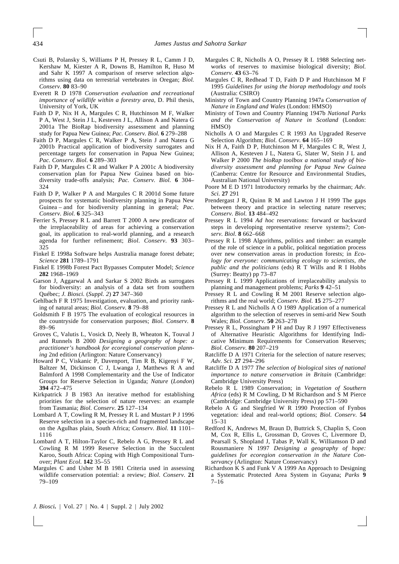- Csuti B, Polansky S, Williams P H, Pressey R L, Camm J D, Kershaw M, Kiester A R, Downs B, Hamilton R, Huso M and Sahr K 1997 A comparison of reserve selection algorithms using data on terrestrial vertebrates in Oregan; *Biol. Conserv.* **80** 83–90
- Everett R D 1978 *Conservation evaluation and recreational importance of wildlife within a forestry area,* D. Phil thesis, University of York, UK
- Faith D P, Nix H A, Margules C R, Hutchinson M F, Walker P A, West J, Stein J L, Kesteven J L, Allison A and Natera G 2001a The BioRap biodiversity assessment and planning study for Papua New Guinea; *Pac. Conserv. Biol.* **6** 279–288
- Faith D P, Margules C R, Walker P A, Stein J and Natera G 2001b Practical application of biodiversity surrogates and percentage targets for conservation in Papua New Guinea; *Pac. Conserv. Biol.* **6** 289–303
- Faith D P, Margules C R and Walker P A 2001c A biodiversity conservation plan for Papua New Guinea based on biodiversity trade-offs analysis; *Pac. Conserv. Biol.* **6** 304– 324
- Faith D P, Walker P A and Margules C R 2001d Some future prospects for systematic biodiversity planning in Papua New Guinea – and for biodiversity planning in general; *Pac. Conserv. Biol.* **6** 325–343
- Ferrier S, Pressey R L and Barrett T 2000 A new predicator of the irreplaceability of areas for achieving a conservation goal, its application to real-world planning, and a research agenda for further refinement; *Biol. Conserv.* **93** 303– 325
- Finkel E 1998a Software helps Australia manage forest debate; *Science* **281** 1789–1791
- Finkel E 1998b Forest Pact Bypasses Computer Model; *Science* **282** 1968–1969
- Garson J, Aggarwal A and Sarkar S 2002 Birds as surrogates for biodiversity: an analysis of a data set from southern Québec; *J. Biosci.* (*Suppl. 2*) **27** 347–360
- Gehlbach F R 1975 Investigation, evaluation, and priority ranking of natural areas; *Biol. Conserv.* **8** 79–88
- Goldsmith F B 1975 The evaluation of ecological resources in the countryside for conservation purposes; *Biol. Conserv.* **8** 89–96
- Groves C, Valutis L, Vosick D, Neely B, Wheaton K, Touval J and Runnels B 2000 *Designing a geography of hope: a practitioner's handbook for ecoregional conservation planning* 2nd edition (Arlington: Nature Conservancy)
- Howard P C, Viskanic P, Davenport, Tim R B, Kigenyi F W, Baltzer M, Dickinson C J, Lwanga J, Matthews R A and Balmford A 1998 Complementarity and the Use of Indicator Groups for Reserve Selection in Uganda; *Nature* (*London*) **394** 472–475
- Kirkpatrick J B 1983 An iterative method for establishing priorities for the selection of nature reserves: an example from Tasmania; *Biol. Conserv.* **25** 127–134
- Lombard A T, Cowling R M, Pressey R L and Mustart P J 1996 Reserve selection in a species-rich and fragmented landscape on the Agulhas plain, South Africa; *Conserv. Biol.* **11** 1101– 1116
- Lombard A T, Hilton-Taylor C, Rebelo A G, Pressey R L and Cowling R M 1999 Reserve Selection in the Succulent Karoo, South Africa: Coping with High Compositional Turnover; *Plant Ecol.* **142** 35–55
- Margules C and Usher M B 1981 Criteria used in assessing wildlife conservation potential: a review; *Biol. Conserv.* **21** 79–109
- Margules C R, Nicholls A O, Pressey R L 1988 Selecting networks of reserves to maximise biological diversity; *Biol. Conserv.* **43** 63–76
- Margules C R, Redhead T D, Faith D P and Hutchinson M F 1995 *Guidelines for using the biorap methodology and tools* (Australia: CSIRO)
- Ministry of Town and Country Planning 1947a *Conservation of Nature in England and Wales* (London: HMSO)
- Ministry of Town and Country Planning 1947b *National Parks and the Conservation of Nature in Scotland* (London: HMSO)
- Nicholls A O and Margules C R 1993 An Upgraded Reserve Selection Algorithm; *Biol. Conserv.* **64** 165–169
- Nix H A, Faith D P, Hutchinson M F, Margules C R, West J, Allison A, Kesteven J L, Natera G, Slater W, Stein J L and Walker P 2000 *The bioRap toolbox a national study of biodiversity assessment and planning for Papua New Guinea* (Canberra: Centre for Resource and Environmental Studies, Australian National University)
- Poore M E D 1971 Introductory remarks by the chairman; *Adv. Sci.* **27** 291
- Prendergast J R, Quinn R M and Lawton J H 1999 The gaps between theory and practice in selecting nature reserves; *Conserv. Biol.* **13** 484–492
- Pressey R L 1994 *Ad hoc* reservations: forward or backward steps in developing representative reserve systems?; *Conserv. Biol.* **8** 662–668
- Pressey R L 1998 Algorithms, politics and timber: an example of the role of science in a public, political negotiation process over new conservation areas in production forests; in *Ecology for everyone: communicating ecology to scientists*, *the public and the politicians* (eds) R T Wills and R I Hobbs (Surrey: Beatty) pp 73–87
- Pressey R L 1999 Applications of irreplaceability analysis to planning and management problems; *Parks* **9** 42–51
- Pressey R L and Cowling R M 2001 Reserve selection algorithms and the real world; *Conserv. Biol.* **15** 275–277
- Pressey R L and Nicholls A O 1989 Application of a numerical algorithm to the selection of reserves in semi-arid New South Wales; *Biol. Conserv.* **50** 263–278
- Pressey R L, Possingham P H and Day R J 1997 Effectiveness of Alternative Heuristic Algorithms for Identifying Indicative Minimum Requirements for Conservation Reserves; *Biol. Conserv.* **80** 207–219
- Ratcliffe D A 1971 Criteria for the selection of nature reserves; *Adv. Sci.* **27** 294–296
- Ratcliffe D A 1977 *The selection of biological sites of national importance to nature conservation in Britain* (Cambridge: Cambridge University Press)
- Rebelo R L 1989 Conservation; in *Vegetation of Southern Africa* (eds) R M Cowling, D M Richardson and S M Pierce (Cambridge: Cambridge University Press) pp 571–590
- Rebelo A G and Siegfried W R 1990 Protection of Fynbos vegetation: ideal and real-world options; *Biol. Conserv.* **54** 15–31
- Redford K, Andrews M, Braun D, Buttrick S, Chaplin S, Coon M, Cox R, Ellis L, Grossman D, Groves C, Livermore D, Pearsall S, Shopland J, Tabas P, Wall K, Williamson D and Rousmaniere N 1997 *Designing a geography of hope: guidelines for ecoregion conservation in the Nature Conservancy* (Arlington: Nature Conservancy)
- Richardson K S and Funk V A 1999 An Approach to Designing a Systematic Protected Area System in Guyana; *Parks* **9**  $7-16$